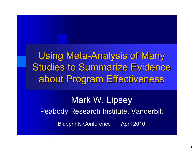Using Meta-Analysis of Many Studies to Summarize Evidence about Program Effectiveness about Program Effectiveness

Mark W. Lipsey Peabody Research Institute, Vanderbilt Blueprints Conference April 2010

1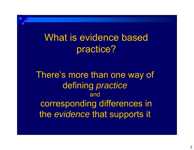What is evidence based practice?

There's more than one way of defining *practice* andcorresponding differences in the *evidence* that supports it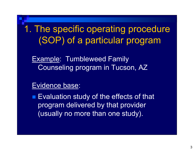1. The specific operating procedure (SOP) of a particular program

Example: Tumbleweed Family Counseling program in Tucson, AZ

#### Evidence base:

■ Evaluation study of the effects of that program delivered by that provider (usually no more than one study).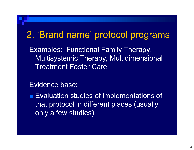#### 2. 'Brand name' protocol programs

Examples: Functional Family Therapy, Multisystemic Therapy, Multidimensional Treatment Foster Care

#### Evidence base:

**Evaluation studies of implementations of** that protocol in different places (usually only a few studies)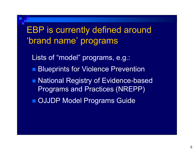### EBP is currently defined around 'brand name' programs

Lists of "model" programs, e.g.:

- **Blueprints for Violence Prevention**
- National Registry of Evidence-based Programs and Practices (NREPP)
- **DIJDP Model Programs Guide**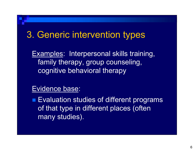#### 3. Generic intervention types

Examples: Interpersonal skills training, family therapy, group counseling, cognitive behavioral therapy

#### Evidence base:

**Evaluation studies of different programs** of that type in different places (often many studies).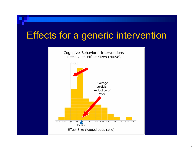## Effects for a generic intervention

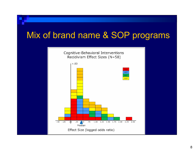#### Mix of brand name & SOP programs

![](_page_7_Figure_1.jpeg)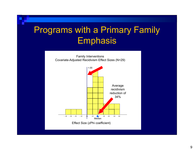### Programs with a Primary Family **Emphasis**

![](_page_8_Figure_1.jpeg)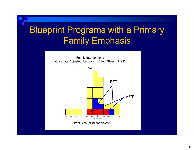### Blueprint Programs with a Primary Family Emphasis

![](_page_9_Figure_1.jpeg)

![](_page_9_Figure_2.jpeg)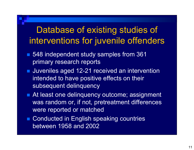#### Database of existing studies of interventions for juvenile offenders

- 548 independent study samples from 361 primary research reports
- **Juveniles aged 12-21 received an intervention** intended to have positive effects on their subsequent delinquency
- At least one delinquency outcome; assignment was random or, if not, pretreatment differences were reported or matched
- Conducted in English speaking countries between 1958 and 2002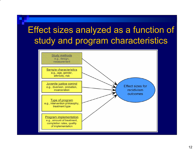## Effect sizes analyzed as a function of study and program characteristics

![](_page_11_Figure_1.jpeg)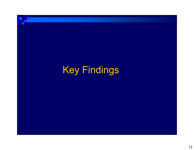# Key Findings

- 1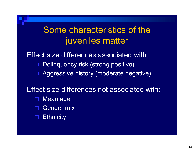#### Some characteristics of the juveniles matter

Effect size differences associated with:  $\Box$  Delinquency risk (strong positive)  $\Box$ Aggressive history (moderate negative)

Effect size differences not associated with:

- $\Box$ Mean age
- $\blacksquare$ Gender mix
- $\blacksquare$ **Ethnicity**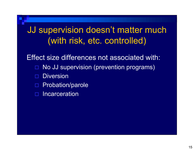#### JJ supervision doesn't matter much (with risk, etc. controlled)

Effect size differences not associated with:  $\Box$  No JJ supervision (prevention programs)  $\blacksquare$  Diversion  $\blacksquare$  Probation/parole  $\blacksquare$ **Incarceration**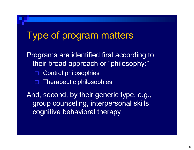#### Type of program matters

Programs are identified first according to their broad approach or "philosophy:"  $\blacksquare$  Control philosophies  $\blacksquare$  Therapeutic philosophies And, second, by their generic type, e.g., group counseling, interpersonal skills, cognitive behavioral therapy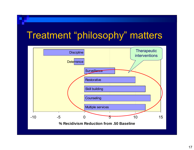## Treatment "philosophy" matters

![](_page_16_Figure_1.jpeg)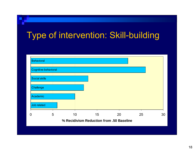### Type of intervention: Skill-building

![](_page_17_Figure_1.jpeg)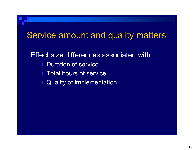### Service amount and quality matters Effect size differences associated with: Duration of service Total hours of service  $\Box$ Quality of implementation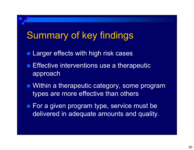## Summary of key findings

- **Larger effects with high risk cases**
- **Effective interventions use a therapeutic** approach
- Within a therapeutic category, some program types are more effective than others
- For a given program type, service must be delivered in adequate amounts and quality.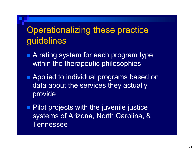#### Operationalizing these practice guidelines

- A rating system for each program type within the therapeutic philosophies
- Applied to individual programs based on data about the services they actually provide
- **Pilot projects with the juvenile justice** systems of Arizona, North Carolina, & Tennessee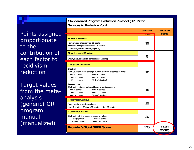| Points assigned |  |
|-----------------|--|
| proportionate   |  |
| to the          |  |
| contribution of |  |
| each factor to  |  |
| recidivism      |  |
| reduction       |  |

Target values from the metaanalysis (generic) OR program manual (manualized)

| <b>Services to Probation Youth</b>                                                                                                                                                               |                                       |                                  |  |
|--------------------------------------------------------------------------------------------------------------------------------------------------------------------------------------------------|---------------------------------------|----------------------------------|--|
|                                                                                                                                                                                                  | <b>Possible</b><br>$D_{\text{multi}}$ | <b>Received</b><br><b>Points</b> |  |
|                                                                                                                                                                                                  | <b><i><u>PARTIES</u></i></b>          |                                  |  |
| <b>Primary Service:</b>                                                                                                                                                                          |                                       |                                  |  |
| High average effect service (35 points)<br>Moderate average effect service (25 points)<br>Low average effect service (15 points)                                                                 | 35                                    |                                  |  |
| <b>Supplemental Service:</b>                                                                                                                                                                     | 5                                     |                                  |  |
| Qualifying supplemental service used (5 points)                                                                                                                                                  |                                       |                                  |  |
| <b>Treatment Amount:</b>                                                                                                                                                                         | 10                                    |                                  |  |
| Duration:<br>% of youth that received target number of weeks of service or more:<br>0% (0 points)<br>60% (6 points)<br>80% (8 points)<br>20% (2 points)<br>100% (10 points)<br>40% (4 points)    |                                       |                                  |  |
| <b>Contact Hours:</b><br>% of youth that received target hours of service or more:<br>60% (9 points)<br>0% (0 points)<br>80% (12 points)<br>20% (3 points)<br>100% (15 points)<br>40% (6 points) | 15                                    |                                  |  |
| <b>Treatment Quality:</b>                                                                                                                                                                        | 15                                    |                                  |  |
| Rated quality of services delivered:<br>Low (5 points) Medium (10 points)<br>High (15 points)                                                                                                    |                                       |                                  |  |
| <b>Youth Risk Level:</b>                                                                                                                                                                         |                                       |                                  |  |
| % of youth with the target risk score or higher:<br>25% (5 points)<br>75% (15 points)<br>50% (10 points)<br>99% (20 points)                                                                      | 20                                    |                                  |  |
| <b>Provider's Total SPEP Score:</b>                                                                                                                                                              | 100                                   | <b>IINSERT</b><br>SCORE]         |  |

**Standardized Program Evaluation Protocol (SPEP) for**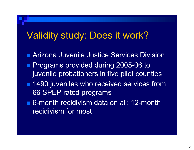### Validity study: Does it work?

- Arizona Juvenile Justice Services Division
- **Programs provided during 2005-06 to** juvenile probationers in five pilot counties
- 1490 juveniles who received services from 66 SPEP rated programs
- 6-month recidivism data on all; 12-month recidivism for most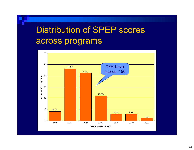### Distribution of SPEP scores across programs

![](_page_23_Figure_1.jpeg)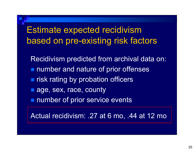#### Estimate expected recidivism based on pre-existing risk factors

Recidivism predicted from archival data on: **number and nature of prior offenses nd risk rating by probation officers** ■ age, sex, race, county **number of prior service events** 

Actual recidivism: .27 at 6 mo, .44 at 12 mo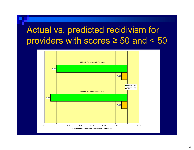#### Actual vs. predicted recidivism for providers with scores ≥ 50 and < 50

![](_page_25_Figure_1.jpeg)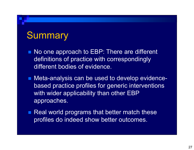#### **Summary**

- No one approach to EBP: There are different definitions of practice with correspondingly different bodies of evidence.
- Meta-analysis can be used to develop evidencebased practice profiles for generic interventions with wider applicability than other EBP approaches.
- $\blacksquare$  Real world programs that better match these profiles do indeed show better outcomes.